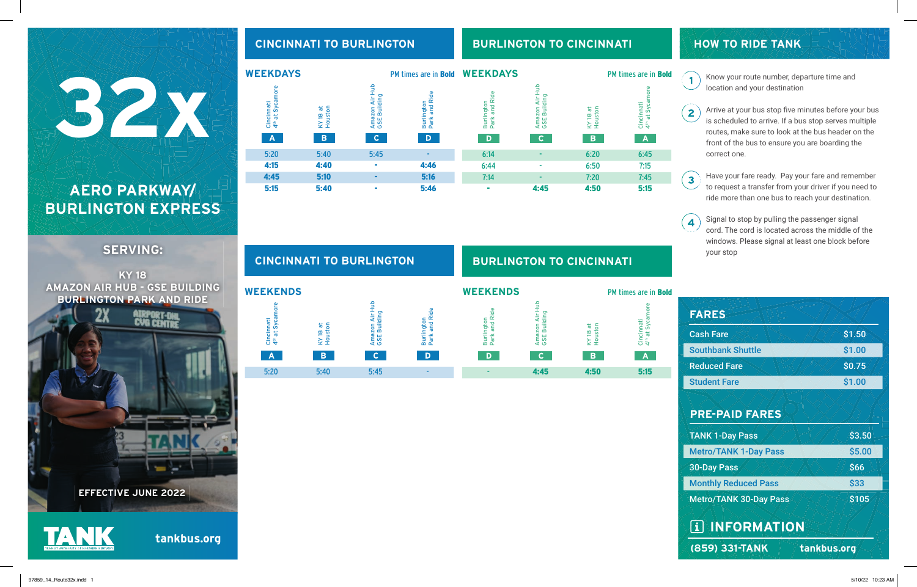# 32 32 32 32 **AERO PARKWAY/**

# **BURLINGTON EXPRESS**

# **SERVING:**

**KY 18 AMAZON AIR HUB - GSE BUILDING BURLINGTON PARK AND RIDE**

**WEEKENDS**

Cincinnati 4

 $A$ 

th at Sycamore

5:20 5:40 5:45 -

 $\overline{\mathbf{c}}$ 

 $\overline{D}$ 

**B** 



```
tankbus.org
```


Amazon Air Hub Amazon Air H<br>GSE Building Burlington<br>Park and Ride Park and Ride GSE Building Burlington KY 18 at Houston

# **CINCINNATI TO BURLINGTON BURLINGTON TO CINCINNATI**

| <b>WEEKENDS</b>                                  |                              |                          | PM times are in <b>Bold</b>              |
|--------------------------------------------------|------------------------------|--------------------------|------------------------------------------|
| $\alpha$<br>ington<br>and<br>ᆱ<br>$\overline{c}$ | ត្ត<br>ഩ<br>Ë<br>ш<br>S<br>Ő | ᢛ<br>ō<br>KY 18<br>Houst | Syca<br>hati<br>ᢛ<br>Cinci<br>$\ddot{4}$ |
| D                                                |                              | B                        | Α                                        |
|                                                  | 4:45                         |                          | 515                                      |

# **HOW TO RIDE TANK**

Know your route number, departure time and location and your destination

Arrive at your bus stop five minutes before your bus is scheduled to arrive. If a bus stop serves multiple routes, make sure to look at the bus header on the front of the bus to ensure you are boarding the correct one.

Have your fare ready. Pay your fare and remember to request a transfer from your driver if you need to ride more than one bus to reach your destination.

Signal to stop by pulling the passenger signal  $\overline{4}$ cord. The cord is located across the middle of the windows. Please signal at least one block before your stop

| <b>FARES</b>                  |                   |  |  |
|-------------------------------|-------------------|--|--|
| <b>Cash Fare</b>              | \$1.50            |  |  |
| <b>Southbank Shuttle</b>      | \$1.00            |  |  |
| <b>Reduced Fare</b>           | \$0.75            |  |  |
| <b>Student Fare</b>           | \$1.00            |  |  |
|                               |                   |  |  |
| <b>PRE-PAID FARES</b>         |                   |  |  |
| <b>TANK 1-Day Pass</b>        | \$3.50            |  |  |
| <b>Metro/TANK 1-Day Pass</b>  | \$5.00            |  |  |
| <b>30-Day Pass</b>            | \$66              |  |  |
| <b>Monthly Reduced Pass</b>   | \$33              |  |  |
| <b>Metro/TANK 30-Day Pass</b> | $\overline{$}105$ |  |  |
|                               |                   |  |  |
| <b>TAINFORMATION</b>          |                   |  |  |
| (859) 331-TANK                | tankbus.org       |  |  |